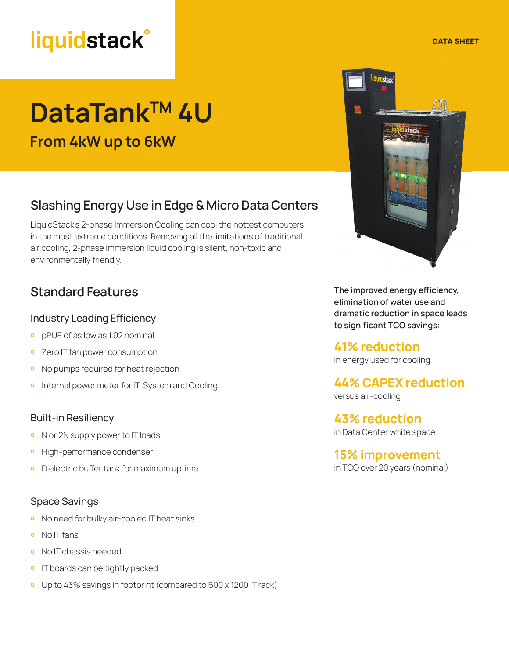## **liquidstack**<sup>®</sup>

# **DataTankTM 4U**

**From 4kW up to 6kW**

### **Slashing Energy Use in Edge & Micro Data Centers**

LiquidStack's 2-phase Immersion Cooling can cool the hottest computers in the most extreme conditions. Removing all the limitations of traditional air cooling, 2-phase immersion liquid cooling is silent, non-toxic and environmentally friendly.

### Industry Leading Efficiency

- **ο** pPUE of as low as 1.02 nominal
- **ο** Zero IT fan power consumption
- **ο** No pumps required for heat rejection
- **ο** Internal power meter for IT, System and Cooling

### Built-in Resiliency

- **ο** N or 2N supply power to IT loads
- **ο** High-performance condenser
- **·** Dielectric buffer tank for maximum uptime

### Space Savings

- **ο** No need for bulky air-cooled IT heat sinks
- **ο** No IT fans
- **ο** No IT chassis needed
- **ο** IT boards can be tightly packed
- **ο** Up to 43% savings in footprint (compared to 600 x 1200 IT rack)



**Standard Features The improved energy efficiency, Standard Features elimination of water use and dramatic reduction in space leads**  to significant TCO savings:

> **41% reduction** in energy used for cooling

## **44% CAPEX reduction**

versus air-cooling

**43% reduction** in Data Center white space

**15% improvement** in TCO over 20 years (nominal)

**DATA SHEET**